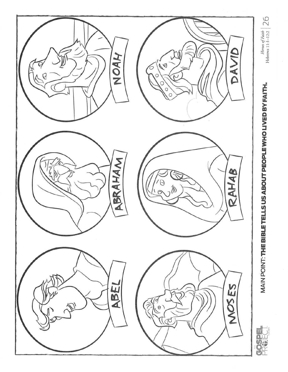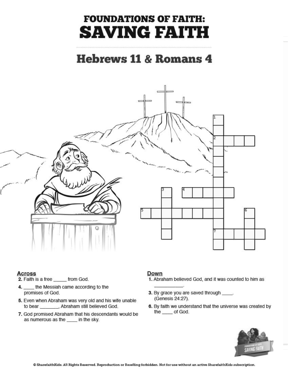# **FOUNDATIONS OF FAITH: SAVING FAITH**

### **Hebrews 11 & Romans 4**



#### **Across**

- 2. Faith is a free \_\_\_\_\_\_ from God.
- 4. \_\_\_\_ the Messiah came according to the promises of God.
- 5. Even when Abraham was very old and his wife unable to bear \_\_\_\_\_\_\_, Abraham still believed God.
- 7. God promised Abraham that his descendants would be as numerous as the \_\_\_\_ in the sky.

### Down

- 1. Abraham believed God, and it was counted to him as
- 3. By grace you are saved through \_\_\_\_. (Genesis 24:27).
- 6. By faith we understand that the universe was created by the \_\_\_\_ of God.

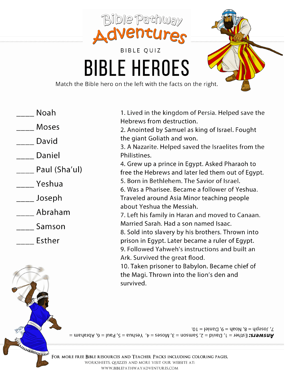

- Noah
- Moses
- David
- Daniel
- \_\_\_ Paul (Sha'ul)
- Yeshua
- \_\_\_\_ Joseph
- Abraham
- Samson
- Esther

**UNAULUMENTE** 

1. Lived in the kingdom of Persia. Helped save the Hebrews from destruction. 2. Anointed by Samuel as king of Israel. Fought the giant Goliath and won. 3. A Nazarite. Helped saved the Israelites from the Philistines. 4. Grew up a prince in Egypt. Asked Pharaoh to free the Hebrews and later led them out of Egypt. 5. Born in Bethlehem. The Savior of Israel. 6. Was a Pharisee, Became a follower of Yeshua. Traveled around Asia Minor teaching people about Yeshua the Messiah. 7. Left his family in Haran and moved to Canaan. Married Sarah. Had a son named Isaac. 8. Sold into slavery by his brothers. Thrown into prison in Egypt. Later became a ruler of Egypt. 9. Followed Yahweh's instructions and built an Ark. Survived the great flood. 10. Taken prisoner to Babylon. Became chief of the Magi. Thrown into the lion's den and survived.



FOR MORE FREE BIBLE RESOURCES AND TEACHER PACKS INCLUDING COLORING PAGES, WORKSHEETS, QUIZZES AND MORE VISIT OUR WEBSITE AT: WWW.BIBLEPATHWAYADVENTURES.COM